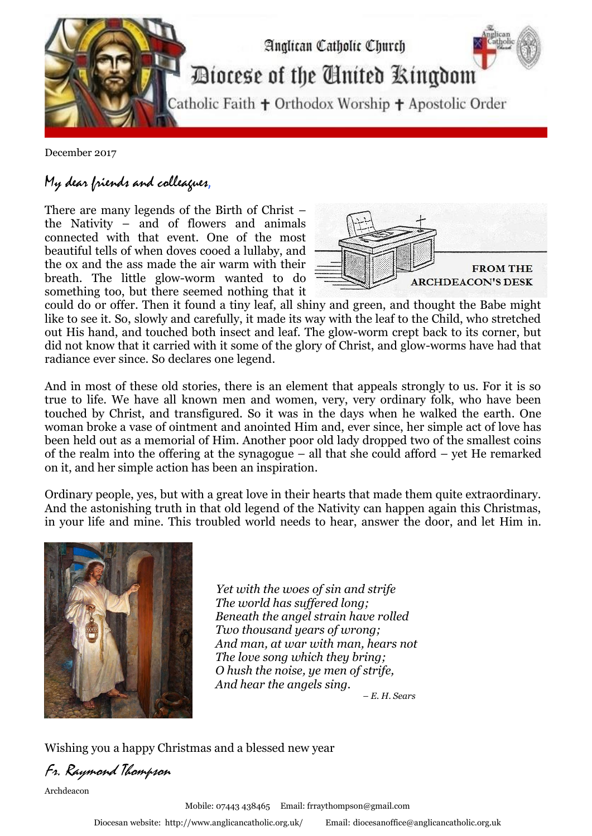

December 2017

## My dear friends and colleagues,

There are many legends of the Birth of Christ – the Nativity – and of flowers and animals connected with that event. One of the most beautiful tells of when doves cooed a lullaby, and the ox and the ass made the air warm with their breath. The little glow-worm wanted to do something too, but there seemed nothing that it



could do or offer. Then it found a tiny leaf, all shiny and green, and thought the Babe might like to see it. So, slowly and carefully, it made its way with the leaf to the Child, who stretched out His hand, and touched both insect and leaf. The glow-worm crept back to its corner, but did not know that it carried with it some of the glory of Christ, and glow-worms have had that radiance ever since. So declares one legend. .

And in most of these old stories, there is an element that appeals strongly to us. For it is so true to life. We have all known men and women, very, very ordinary folk, who have been touched by Christ, and transfigured. So it was in the days when he walked the earth. One woman broke a vase of ointment and anointed Him and, ever since, her simple act of love has been held out as a memorial of Him. Another poor old lady dropped two of the smallest coins of the realm into the offering at the synagogue – all that she could afford – yet He remarked on it, and her simple action has been an inspiration.

Ordinary people, yes, but with a great love in their hearts that made them quite extraordinary. And the astonishing truth in that old legend of the Nativity can happen again this Christmas, in your life and mine. This troubled world needs to hear, answer the door, and let Him in.



 *Yet with the woes of sin and strife The world has suffered long; Beneath the angel strain have rolled Two thousand years of wrong; And man, at war with man, hears not The love song which they bring; O hush the noise, ye men of strife, And hear the angels sing. – E. H. Sears*

Wishing you a happy Christmas and a blessed new year

Fr. Raymond Thompson

Archdeacon